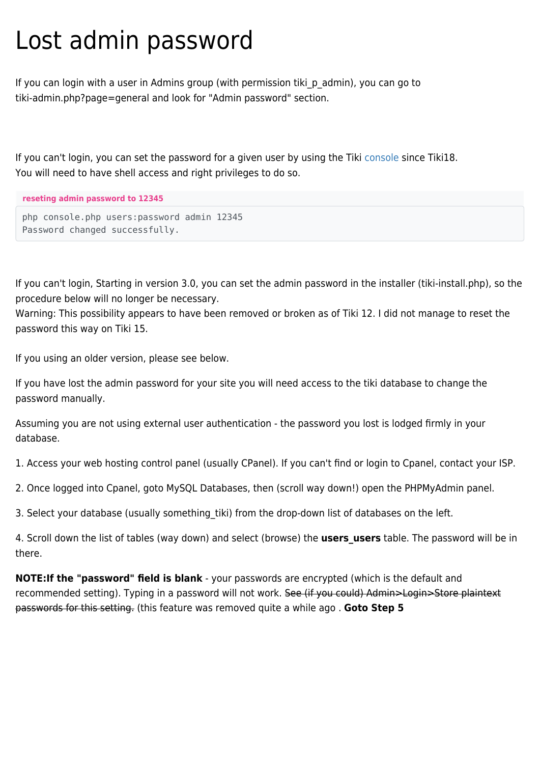## Lost admin password

If you can login with a user in Admins group (with permission tiki p admin), you can go to tiki-admin.php?page=general and look for "Admin password" section.

If you can't login, you can set the password for a given user by using the Tiki [console](https://doc.tiki.org/Console) since Tiki18. You will need to have shell access and right privileges to do so.

```
reseting admin password to 12345
```

```
php console.php users:password admin 12345
Password changed successfully.
```
If you can't login, Starting in version 3.0, you can set the admin password in the installer (tiki-install.php), so the procedure below will no longer be necessary.

Warning: This possibility appears to have been removed or broken as of Tiki 12. I did not manage to reset the password this way on Tiki 15.

If you using an older version, please see below.

If you have lost the admin password for your site you will need access to the tiki database to change the password manually.

Assuming you are not using external user authentication - the password you lost is lodged firmly in your database.

1. Access your web hosting control panel (usually CPanel). If you can't find or login to Cpanel, contact your ISP.

2. Once logged into Cpanel, goto MySQL Databases, then (scroll way down!) open the PHPMyAdmin panel.

3. Select your database (usually something tiki) from the drop-down list of databases on the left.

4. Scroll down the list of tables (way down) and select (browse) the **users users** table. The password will be in there.

**NOTE:If the "password" field is blank** - your passwords are encrypted (which is the default and recommended setting). Typing in a password will not work. See (if you could) Admin>Login>Store plaintext passwords for this setting. (this feature was removed quite a while ago . **Goto Step 5**